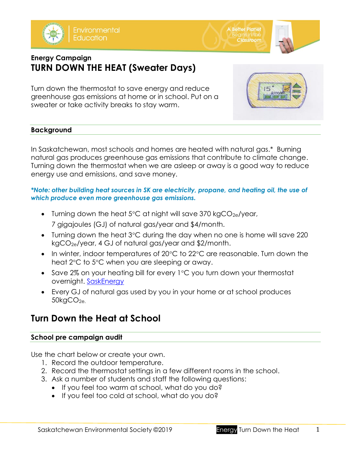

**A Better Planet Classroom** 



## **Energy Campaign TURN DOWN THE HEAT (Sweater Days)**

Turn down the thermostat to save energy and reduce greenhouse gas emissions at home or in school. Put on a sweater or take activity breaks to stay warm.



## **Background**

In Saskatchewan, most schools and homes are heated with natural gas.\* Burning natural gas produces greenhouse gas emissions that contribute to climate change. Turning down the thermostat when we are asleep or away is a good way to reduce energy use and emissions, and save money.

### *\*Note: other building heat sources in SK are electricity, propane, and heating oil, the use of which produce even more greenhouse gas emissions.*

- Turning down the heat  $5^{\circ}$ C at night will save 370 kgCO<sub>2e</sub>/year, 7 gigajoules (GJ) of natural gas/year and \$4/month.
- Turning down the heat  $3^{\circ}$ C during the day when no one is home will save 220 kgCO2e/year, 4 GJ of natural gas/year and \$2/month.
- In winter, indoor temperatures of 20°C to 22°C are reasonable. Turn down the heat  $2^{\circ}$ C to  $5^{\circ}$ C when you are sleeping or away.
- Save 2% on your heating bill for every  $1^{\circ}$ C you turn down your thermostat overnight. [SaskEnergy](https://www.saskenergy.com/saving_energy/tips.asp)
- Every GJ of natural gas used by you in your home or at school produces  $50kgCO<sub>2e.</sub>$

# **Turn Down the Heat at School**

## **School pre campaign audit**

Use the chart below or create your own.

- 1. Record the outdoor temperature.
- 2. Record the thermostat settings in a few different rooms in the school.
- 3. Ask a number of students and staff the following questions:
	- If you feel too warm at school, what do you do?
	- If you feel too cold at school, what do you do?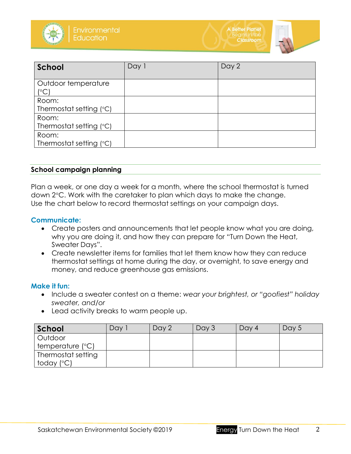



| School                               | Day 1 | Day 2 |
|--------------------------------------|-------|-------|
| Outdoor temperature<br>$\mathcal{C}$ |       |       |
| Room:<br>Thermostat setting $(°C)$   |       |       |
| Room:<br>Thermostat setting (°C)     |       |       |
| Room:<br>Thermostat setting $(°C)$   |       |       |

#### **School campaign planning**

Plan a week, or one day a week for a month, where the school thermostat is turned down 2°C. Work with the caretaker to plan which days to make the change. Use the chart below to record thermostat settings on your campaign days.

#### **Communicate:**

- Create posters and announcements that let people know what you are doing, why you are doing it, and how they can prepare for "Turn Down the Heat, Sweater Days".
- Create newsletter items for families that let them know how they can reduce thermostat settings at home during the day, or overnight, to save energy and money, and reduce greenhouse gas emissions.

#### **Make it fun:**

- Include a sweater contest on a theme: *wear your brightest, or "goofiest" holiday sweater, and/or*
- Lead activity breaks to warm people up.

| School                    | Day | Day 2 | Day 3 | Day 4 | Day 5 |
|---------------------------|-----|-------|-------|-------|-------|
| Outdoor                   |     |       |       |       |       |
| temperature $(^{\circ}C)$ |     |       |       |       |       |
| Thermostat setting        |     |       |       |       |       |
| today (°C)                |     |       |       |       |       |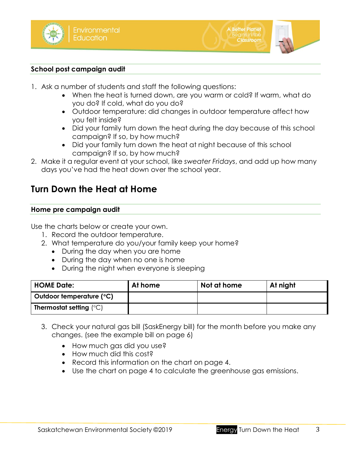



- 1. Ask a number of students and staff the following questions:
	- When the heat is turned down, are you warm or cold? If warm, what do you do? If cold, what do you do?

**A Better Planet** 

**Classroom** 

- Outdoor temperature: did changes in outdoor temperature affect how you felt inside?
- Did your family turn down the heat during the day because of this school campaign? If so, by how much?
- Did your family turn down the heat at night because of this school campaign? If so, by how much?
- 2. Make it a regular event at your school, like *sweater Fridays*, and add up how many days you've had the heat down over the school year.

# **Turn Down the Heat at Home**

### **Home pre campaign audit**

Use the charts below or create your own.

- 1. Record the outdoor temperature.
- 2. What temperature do you/your family keep your home?
	- During the day when you are home
	- During the day when no one is home
	- During the night when everyone is sleeping

| <b>HOME Date:</b>                       | At home | Not at home | At night |
|-----------------------------------------|---------|-------------|----------|
| Outdoor temperature (°C)                |         |             |          |
| <b>Thermostat setting</b> $(^{\circ}C)$ |         |             |          |

- 3. Check your natural gas bill (SaskEnergy bill) for the month before you make any changes. (see the example bill on page 6)
	- How much gas did you use?
	- How much did this cost?
	- Record this information on the chart on page 4.
	- Use the chart on page 4 to calculate the greenhouse gas emissions.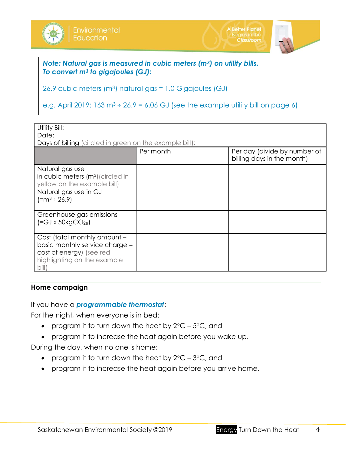

*Note: Natural gas is measured in cubic meters (m3) on utility bills. To convert m<sup>3</sup> to gigajoules (GJ):*

26.9 cubic meters (m3) natural gas = 1.0 Gigajoules (GJ)

e.g. April 2019: 163 m<sup>3</sup>  $\div$  26.9 = 6.06 GJ (see the example utility bill on page 6)

| Utility Bill:                                           |           |                                                            |  |  |  |  |
|---------------------------------------------------------|-----------|------------------------------------------------------------|--|--|--|--|
| Date:                                                   |           |                                                            |  |  |  |  |
| Days of billing (circled in green on the example bill): |           |                                                            |  |  |  |  |
|                                                         | Per month | Per day (divide by number of<br>billing days in the month) |  |  |  |  |
| Natural gas use                                         |           |                                                            |  |  |  |  |
| in cubic meters (m <sup>3</sup> ) (circled in           |           |                                                            |  |  |  |  |
| yellow on the example bill)                             |           |                                                            |  |  |  |  |
| Natural gas use in GJ                                   |           |                                                            |  |  |  |  |
| $[=m^3 \div 26.9]$                                      |           |                                                            |  |  |  |  |
|                                                         |           |                                                            |  |  |  |  |
| Greenhouse gas emissions                                |           |                                                            |  |  |  |  |
| $\left[ = GJ \times 50kgCO_{2e} \right]$                |           |                                                            |  |  |  |  |
|                                                         |           |                                                            |  |  |  |  |
| Cost (total monthly amount -                            |           |                                                            |  |  |  |  |
| basic monthly service charge =                          |           |                                                            |  |  |  |  |
| cost of energy) (see red                                |           |                                                            |  |  |  |  |
| highlighting on the example                             |           |                                                            |  |  |  |  |
| $\text{bill}$                                           |           |                                                            |  |  |  |  |

## **Home campaign**

If you have a *programmable thermostat*:

For the night, when everyone is in bed:

- program it to turn down the heat by  $2^{\circ}C 5^{\circ}C$ , and
- program it to increase the heat again before you wake up.

During the day, when no one is home:

- program it to turn down the heat by  $2^{\circ}C 3^{\circ}C$ , and
- program it to increase the heat again before you arrive home.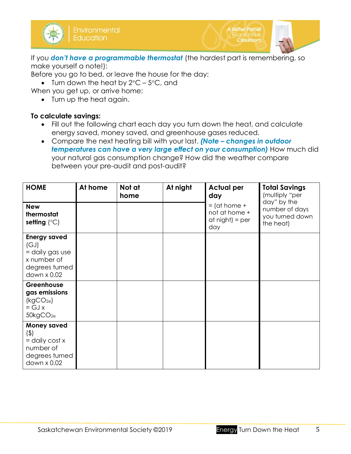

If you *don't have a programmable thermostat* (the hardest part is remembering, so make yourself a note!):

**A Better Planet** 

Classroom

Before you go to bed, or leave the house for the day:

• Turn down the heat by  $2^{\circ}C - 5^{\circ}C$ , and

When you get up, or arrive home:

• Turn up the heat again.

## **To calculate savings:**

- Fill out the following chart each day you turn down the heat, and calculate energy saved, money saved, and greenhouse gases reduced.
- Compare the next heating bill with your last. *(Note – changes in outdoor temperatures can have a very large effect on your consumption)* How much did your natural gas consumption change? How did the weather compare between your pre-audit and post-audit?

| <b>HOME</b>                                                                                     | At home | Not at<br>home | At night | <b>Actual per</b><br>day                                      | <b>Total Savings</b><br>(multiply "per                        |  |
|-------------------------------------------------------------------------------------------------|---------|----------------|----------|---------------------------------------------------------------|---------------------------------------------------------------|--|
| <b>New</b><br>thermostat<br>setting $(^{\circ}C)$                                               |         |                |          | $=$ (at home $+$<br>not at home +<br>$at night) = per$<br>day | day" by the<br>number of days<br>you turned down<br>the heat) |  |
| <b>Energy saved</b><br>(GJ)<br>= daily gas use<br>x number of<br>degrees turned<br>down x 0.02  |         |                |          |                                                               |                                                               |  |
| Greenhouse<br>gas emissions<br>(kgCO <sub>2e</sub> )<br>$= GJx$<br>50kgCO <sub>2e</sub>         |         |                |          |                                                               |                                                               |  |
| <b>Money saved</b><br>$($ \$)<br>$=$ daily cost x<br>number of<br>degrees turned<br>down x 0.02 |         |                |          |                                                               |                                                               |  |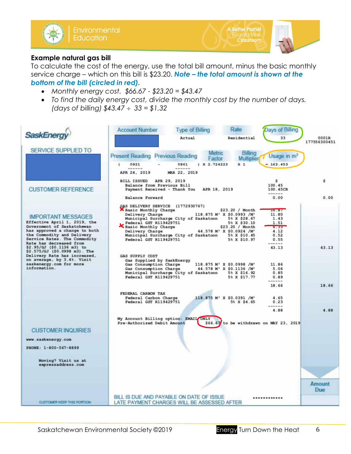

## **Example natural gas bill**

To calculate the cost of the energy, use the total bill amount, minus the basic monthly service charge – which on this bill is \$23.20. *Note – the total amount is shown at the bottom of the bill (circled in red).* 

- *Monthly energy cost. \$66.67 - \$23.20 = \$43.47*
- *To find the daily energy cost, divide the monthly cost by the number of days. (days of billing) \$43.47 33 = \$1.32*

|                                                                                       | <b>Account Number</b>                                                                                    | <b>Type of Billing</b>                | Rate                                                                                                          | <b>Days of Billing</b>                  |                       |
|---------------------------------------------------------------------------------------|----------------------------------------------------------------------------------------------------------|---------------------------------------|---------------------------------------------------------------------------------------------------------------|-----------------------------------------|-----------------------|
|                                                                                       |                                                                                                          | Actual                                | Residential                                                                                                   | 33                                      | 0001R<br>177556300451 |
| SERVICE SUPPLIED TO                                                                   | <b>Present Reading Previous Reading</b>                                                                  | Metric                                | Billing                                                                                                       | Usage in m                              |                       |
|                                                                                       | 0921<br>t                                                                                                | Factor<br>X2.724223<br>0861           | Multiplier<br>x <sub>1</sub>                                                                                  | $= 163.453$                             |                       |
|                                                                                       | ------<br>APR 24, 2019                                                                                   | ------<br>MAR 22, 2019                |                                                                                                               |                                         |                       |
| <b>CUSTOMER REFERENCE</b>                                                             | <b>BILL ISSUED</b><br>Balance from Previous Bill<br>Payment Received - Thank You                         | APR 29, 2019<br>APR 18, 2019          |                                                                                                               | \$<br>100.45<br>100.45CR<br>------      | ŝ                     |
|                                                                                       | <b>Balance Forward</b>                                                                                   |                                       |                                                                                                               | 0.00                                    | 0.00                  |
| <b>IMPORTANT MESSAGES</b>                                                             | GAS DELIVERY SERVICE (1772930767)<br>Basic Monthly Charge<br>Delivery Charge                             | Municipal Surcharge City of Saskatoon | \$23.20 / Month<br>118.875 M' X \$0.0993 /M'<br>5% X \$28.67                                                  | 10.87<br>11.80<br>1.43                  |                       |
| Effective April 1, 2019, the<br>Government of Saskatchewan                            | Federal GST R119429751<br>Basic Monthly Charge                                                           |                                       | 5% X \$30.10<br>\$23.20 / Month                                                                               | 1.51<br>0.053                           |                       |
| has approved a change to both<br>the Commodity and Delivery                           | Delivery Charge                                                                                          | Municipal Surcharge City of Saskatoon | 44.578 M' X \$0.0924 /M'<br>5% X \$10.45                                                                      | 4.12<br>0.52                            |                       |
| Service Rates. The Commodity<br>Rate has decreased from<br>\$2.95/GJ (\$0.1136 m3) to | Federal GST R119429751                                                                                   |                                       | 5% X \$10.97                                                                                                  | 0.55<br>$- - - - -$<br>43.13            | 43.13                 |
| \$2.575/GJ (\$0.0998 m3). The<br>Delivery Rate has increased,                         | GAS SUPPLY COST                                                                                          |                                       |                                                                                                               |                                         |                       |
| on average, by 3.4%. Visit<br>saskenergy.com for more<br>information.                 | Gas Supplied by SaskEnergy<br>Gas Consumption Charge<br>Gas Consumption Charge<br>Federal GST R119429751 | Municipal Surcharge City of Saskatoon | 118.875 M' X \$0.0998 /M'<br>44.578 M <sup>3</sup> X \$0.1136 /M <sup>3</sup><br>5% X \$16.92<br>5% X \$17.77 | 11.86<br>5.06<br>0.85<br>0.89           |                       |
|                                                                                       |                                                                                                          |                                       |                                                                                                               | ------<br>18.66                         | 18.66                 |
|                                                                                       | FEDERAL CARBON TAX<br>Federal Carbon Charge<br>Federal GST R119429751                                    |                                       | 118.875 M' X \$0.0391 /M'<br>5% X \$4.65                                                                      | 4.65<br>0.23<br>------                  |                       |
|                                                                                       |                                                                                                          |                                       |                                                                                                               | 4.88                                    | 4.88                  |
|                                                                                       | My Account Billing option: EMAIL ONLY<br>Pre-Authorized Debit Amount                                     |                                       |                                                                                                               | \$66.67 to be withdrawn on MAY 23, 2019 |                       |
| <b>CUSTOMER INQUIRIES</b>                                                             |                                                                                                          |                                       |                                                                                                               |                                         |                       |
| www.saskenergy.com                                                                    |                                                                                                          |                                       |                                                                                                               |                                         |                       |
| PHONE: 1-800-567-8899                                                                 |                                                                                                          |                                       |                                                                                                               |                                         |                       |
| Moving? Visit us at                                                                   |                                                                                                          |                                       |                                                                                                               |                                         |                       |
| expressaddress.com                                                                    |                                                                                                          |                                       |                                                                                                               |                                         |                       |
|                                                                                       |                                                                                                          |                                       |                                                                                                               |                                         |                       |
|                                                                                       |                                                                                                          |                                       |                                                                                                               |                                         | Amount<br>Due         |
| CUSTOMER KEEP THIS PORTION                                                            | BILL IS DUE AND PAYABLE ON DATE OF ISSUE<br>LATE PAYMENT CHARGES WILL BE ASSESSED AFTER                  |                                       |                                                                                                               | ************                            |                       |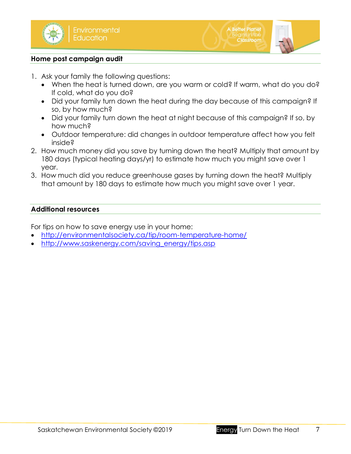

### **Home post campaign audit**

- 1. Ask your family the following questions:
	- When the heat is turned down, are you warm or cold? If warm, what do you do? If cold, what do you do?
	- Did your family turn down the heat during the day because of this campaign? If so, by how much?
	- Did your family turn down the heat at night because of this campaign? If so, by how much?
	- Outdoor temperature: did changes in outdoor temperature affect how you felt inside?
- 2. How much money did you save by turning down the heat? Multiply that amount by 180 days (typical heating days/yr) to estimate how much you might save over 1 year.
- 3. How much did you reduce greenhouse gases by turning down the heat? Multiply that amount by 180 days to estimate how much you might save over 1 year.

## **Additional resources**

For tips on how to save energy use in your home:

- <http://environmentalsociety.ca/tip/room-temperature-home/>
- [http://www.saskenergy.com/saving\\_energy/tips.asp](http://www.saskenergy.com/saving_energy/tips.asp)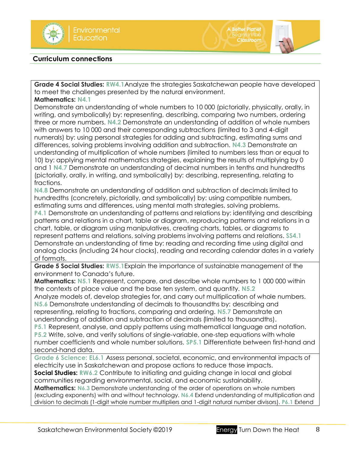

### **Curriculum connections**

**Grade 4 Social Studies: RW4.1**Analyze the strategies Saskatchewan people have developed to meet the challenges presented by the natural environment.

**A Better Planet** 

Classroom

**Mathematics: N4.1**

Demonstrate an understanding of whole numbers to 10 000 (pictorially, physically, orally, in writing, and symbolically) by: representing, describing, comparing two numbers, ordering three or more numbers. **N4.2** Demonstrate an understanding of addition of whole numbers with answers to 10 000 and their corresponding subtractions (limited to 3 and 4-digit numerals) by: using personal strategies for adding and subtracting, estimating sums and differences, solving problems involving addition and subtraction. **N4.3** Demonstrate an understanding of multiplication of whole numbers (limited to numbers less than or equal to 10) by: applying mental mathematics strategies, explaining the results of multiplying by 0 and 1 **N4.7** Demonstrate an understanding of decimal numbers in tenths and hundredths (pictorially, orally, in writing, and symbolically) by: describing, representing, relating to fractions.

**N4.8** Demonstrate an understanding of addition and subtraction of decimals limited to hundredths (concretely, pictorially, and symbolically) by: using compatible numbers, estimating sums and differences, using mental math strategies, solving problems. **P4.1** Demonstrate an understanding of patterns and relations by: identifying and describing patterns and relations in a chart, table or diagram, reproducing patterns and relations in a chart, table, or diagram using manipulatives, creating charts, tables, or diagrams to represent patterns and relations, solving problems involving patterns and relations. **SS4.1**

Demonstrate an understanding of time by: reading and recording time using digital and analog clocks (including 24 hour clocks), reading and recording calendar dates in a variety of formats.

**Grade 5 Social Studies: RW5.1**Explain the importance of sustainable management of the environment to Canada's future.

**Mathematics: N5.1** Represent, compare, and describe whole numbers to 1 000 000 within the contexts of place value and the base ten system, and quantity. **N5.2**

Analyze models of, develop strategies for, and carry out multiplication of whole numbers. **N5.6** Demonstrate understanding of decimals to thousandths by: describing and representing, relating to fractions, comparing and ordering. **N5.7** Demonstrate an understanding of addition and subtraction of decimals (limited to thousandths).

**P5.1** Represent, analyse, and apply patterns using mathematical language and notation. **P5.2** Write, solve, and verify solutions of single-variable, one-step equations with whole number coefficients and whole number solutions. **SP5.1** Differentiate between first-hand and second-hand data.

**Grade 6 Science: EL6.1** Assess personal, societal, economic, and environmental impacts of electricity use in Saskatchewan and propose actions to reduce those impacts.

**Social Studies: RW6.2** Contribute to initiating and guiding change in local and global communities regarding environmental, social, and economic sustainability.

**Mathematics: N6.3** Demonstrate understanding of the order of operations on whole numbers (excluding exponents) with and without technology. **N6.4** Extend understanding of multiplication and division to decimals (1-digit whole number multipliers and 1-digit natural number divisors). **P6.1** Extend